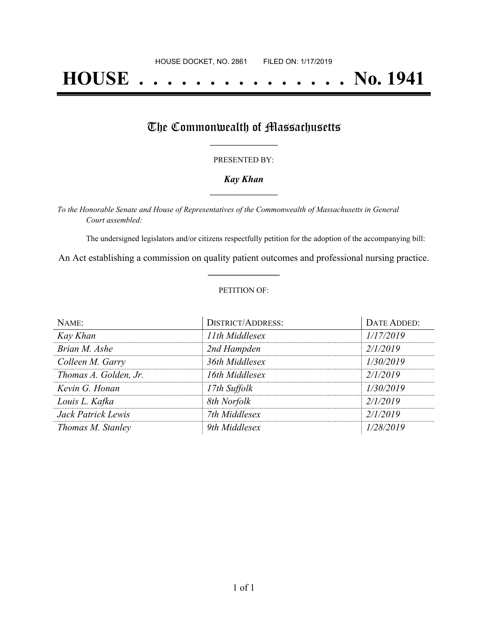# **HOUSE . . . . . . . . . . . . . . . No. 1941**

## The Commonwealth of Massachusetts

#### PRESENTED BY:

#### *Kay Khan* **\_\_\_\_\_\_\_\_\_\_\_\_\_\_\_\_\_**

*To the Honorable Senate and House of Representatives of the Commonwealth of Massachusetts in General Court assembled:*

The undersigned legislators and/or citizens respectfully petition for the adoption of the accompanying bill:

An Act establishing a commission on quality patient outcomes and professional nursing practice. **\_\_\_\_\_\_\_\_\_\_\_\_\_\_\_**

#### PETITION OF:

| NAME:                 | <b>DISTRICT/ADDRESS:</b> | <b>DATE ADDED:</b> |
|-----------------------|--------------------------|--------------------|
| Kay Khan              | 11th Middlesex           | 1/17/2019          |
| Brian M. Ashe         | 2nd Hampden              | 2/1/2019           |
| Colleen M. Garry      | 36th Middlesex           | 1/30/2019          |
| Thomas A. Golden, Jr. | 16th Middlesex           | 2/1/2019           |
| Kevin G. Honan        | 17th Suffolk             | 1/30/2019          |
| Louis L. Kafka        | 8th Norfolk              | 2/1/2019           |
| Jack Patrick Lewis    | 7th Middlesex            | 2/1/2019           |
| Thomas M. Stanley     | 9th Middlesex            | 1/28/2019          |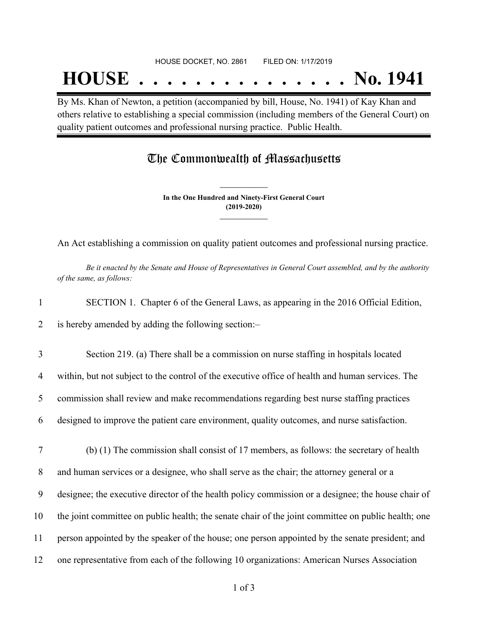# **HOUSE . . . . . . . . . . . . . . . No. 1941**

By Ms. Khan of Newton, a petition (accompanied by bill, House, No. 1941) of Kay Khan and others relative to establishing a special commission (including members of the General Court) on quality patient outcomes and professional nursing practice. Public Health.

### The Commonwealth of Massachusetts

**In the One Hundred and Ninety-First General Court (2019-2020) \_\_\_\_\_\_\_\_\_\_\_\_\_\_\_**

**\_\_\_\_\_\_\_\_\_\_\_\_\_\_\_**

An Act establishing a commission on quality patient outcomes and professional nursing practice.

Be it enacted by the Senate and House of Representatives in General Court assembled, and by the authority *of the same, as follows:*

| SECTION 1. Chapter 6 of the General Laws, as appearing in the 2016 Official Edition, |  |
|--------------------------------------------------------------------------------------|--|
|--------------------------------------------------------------------------------------|--|

2 is hereby amended by adding the following section:–

3 Section 219. (a) There shall be a commission on nurse staffing in hospitals located 4 within, but not subject to the control of the executive office of health and human services. The 5 commission shall review and make recommendations regarding best nurse staffing practices

6 designed to improve the patient care environment, quality outcomes, and nurse satisfaction.

7 (b) (1) The commission shall consist of 17 members, as follows: the secretary of health 8 and human services or a designee, who shall serve as the chair; the attorney general or a

9 designee; the executive director of the health policy commission or a designee; the house chair of

10 the joint committee on public health; the senate chair of the joint committee on public health; one

11 person appointed by the speaker of the house; one person appointed by the senate president; and

12 one representative from each of the following 10 organizations: American Nurses Association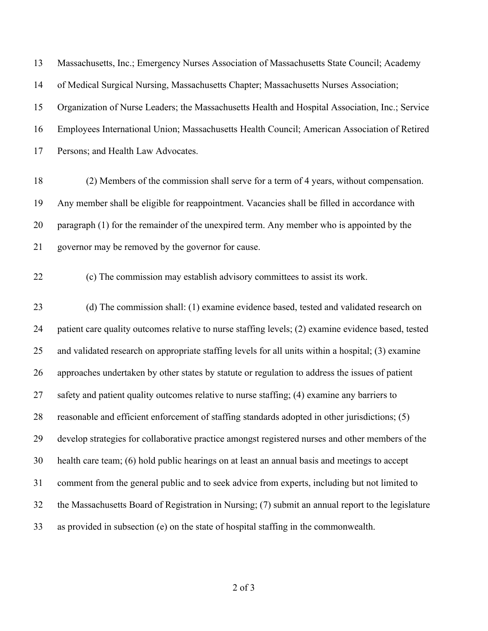Massachusetts, Inc.; Emergency Nurses Association of Massachusetts State Council; Academy of Medical Surgical Nursing, Massachusetts Chapter; Massachusetts Nurses Association; Organization of Nurse Leaders; the Massachusetts Health and Hospital Association, Inc.; Service Employees International Union; Massachusetts Health Council; American Association of Retired Persons; and Health Law Advocates.

- (2) Members of the commission shall serve for a term of 4 years, without compensation. Any member shall be eligible for reappointment. Vacancies shall be filled in accordance with paragraph (1) for the remainder of the unexpired term. Any member who is appointed by the governor may be removed by the governor for cause.
- 

(c) The commission may establish advisory committees to assist its work.

 (d) The commission shall: (1) examine evidence based, tested and validated research on patient care quality outcomes relative to nurse staffing levels; (2) examine evidence based, tested and validated research on appropriate staffing levels for all units within a hospital; (3) examine approaches undertaken by other states by statute or regulation to address the issues of patient 27 safety and patient quality outcomes relative to nurse staffing; (4) examine any barriers to reasonable and efficient enforcement of staffing standards adopted in other jurisdictions; (5) develop strategies for collaborative practice amongst registered nurses and other members of the health care team; (6) hold public hearings on at least an annual basis and meetings to accept comment from the general public and to seek advice from experts, including but not limited to the Massachusetts Board of Registration in Nursing; (7) submit an annual report to the legislature as provided in subsection (e) on the state of hospital staffing in the commonwealth.